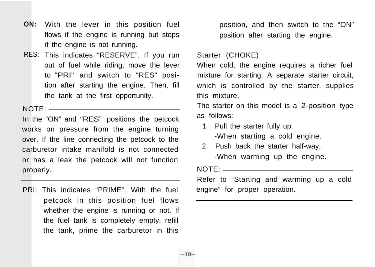- **ON:** With the lever in this position fuel flows if the engine is running but stops if the engine is not running.
- RES: This indicates "RESERVE". If you run out of fuel while riding, move the lever to "PRI" and switch to "RES" position after starting the engine. Then, fill the tank at the first opportunity.

 $NOTF:$ 

In the "ON" and "RES" positions the petcock works on pressure from the engine turning over. If the line connecting the petcock to the carburetor intake manifold is not connected or has a leak the petcock will not function properly.

PRI: This indicates "PRIME". With the fuel petcock in this position fuel flows whether the engine is running or not. If the fuel tank is completely empty, refill the tank, prime the carburetor in this

position, and then switch to the "ON" position after starting the engine.

# Starter (CHOKE)

When cold, the engine requires a richer fuel mixture for starting. A separate starter circuit, which is controlled by the starter, supplies this mixture.

The starter on this model is a 2-position type as follows:

- 1. Pull the starter fully up. -When starting a cold engine.
- 2. Push back the starter half-way. -When warming up the engine.

 $NOTF:$ 

Refer to "Starting and warming up a cold engine" for proper operation.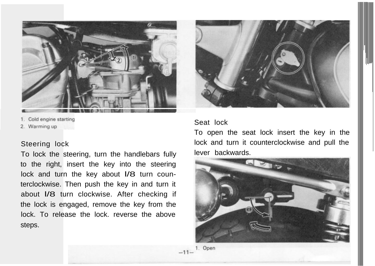

<sup>1.</sup> Cold engine starting

2. Warming up

# Steering lock

To lock the steering, turn the handlebars fully to the right, insert the key into the steering lock and turn the key about I/8 turn counterclockwise. Then push the key in and turn it about l/8 turn clockwise. After checking if the lock is engaged, remove the key from the lock. To release the lock. reverse the above steps.



# Seat lock

To open the seat lock insert the key in the lock and turn it counterclockwise and pull the lever backwards.



1. Open  $-11-$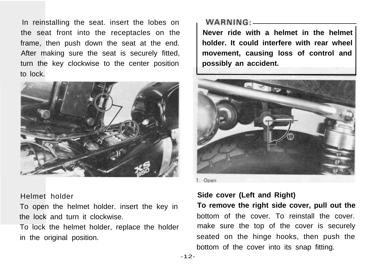In reinstalling the seat. insert the lobes on the seat front into the receptacles on the frame, then push down the seat at the end. After making sure the seat is securely fitted, turn the key clockwise to the center position to lock.



## Helmet holder

To open the helmet holder. insert the key in the lock and turn it clockwise.

To lock the helmet holder, replace the holder in the original position.

## 

**Never ride with a helmet in the helmet holder. It could interfere with rear wheel movement, causing loss of control and possibly an accident.**



1. Open

# **Side cover (Left and Right)**

**To remove the right side cover, pull out the** bottom of the cover. To reinstall the cover. make sure the top of the cover is securely seated on the hinge hooks, then push the bottom of the cover into its snap fitting.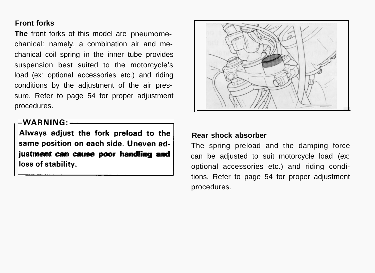# **Front forks**

**The** front forks of this model are pneumomechanical; namely, a combination air and mechanical coil spring in the inner tube provides suspension best suited to the motorcycle's load (ex: optional accessories etc.) and riding conditions by the adjustment of the air pressure. Refer to page 54 for proper adjustment procedures.

**Always adjust the fork preload to the same position on each side. Uneven ad-** -WARNING:<br>
Always adjust the fork preload to the<br>
same position on each side. Uneven ad-<br>
justment can cause poor handling and<br>
loss of stability. **justment can cause poor handling and**



# **Rear shock absorber**

The spring preload and the damping force can be adjusted to suit motorcycle load (ex: optional accessories etc.) and riding conditions. Refer to page 54 for proper adjustment procedures.